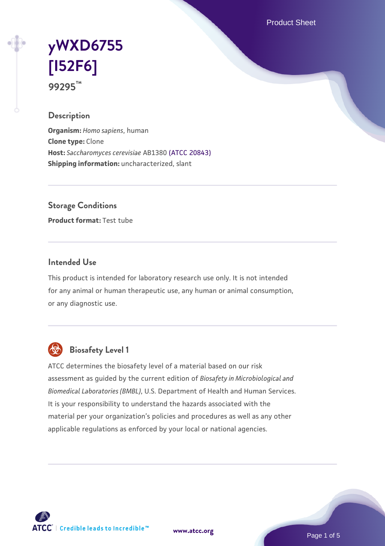Product Sheet

# **[yWXD6755](https://www.atcc.org/products/99295) [\[I52F6\]](https://www.atcc.org/products/99295) 99295™**

### **Description**

**Organism:** *Homo sapiens*, human **Clone type:** Clone **Host:** *Saccharomyces cerevisiae* AB1380 [\(ATCC 20843\)](https://www.atcc.org/products/20843) **Shipping information:** uncharacterized, slant

**Storage Conditions**

**Product format:** Test tube

### **Intended Use**

This product is intended for laboratory research use only. It is not intended for any animal or human therapeutic use, any human or animal consumption, or any diagnostic use.



## **Biosafety Level 1**

ATCC determines the biosafety level of a material based on our risk assessment as guided by the current edition of *Biosafety in Microbiological and Biomedical Laboratories (BMBL)*, U.S. Department of Health and Human Services. It is your responsibility to understand the hazards associated with the material per your organization's policies and procedures as well as any other applicable regulations as enforced by your local or national agencies.

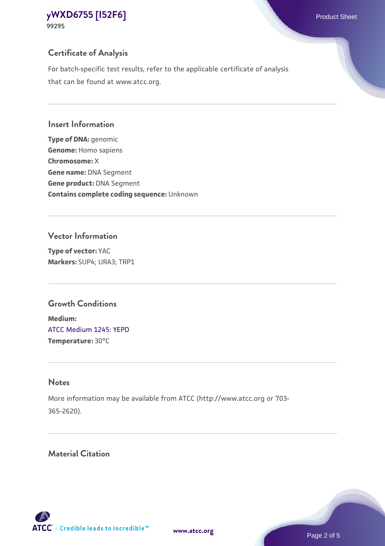**99295**

## **Certificate of Analysis**

For batch-specific test results, refer to the applicable certificate of analysis that can be found at www.atcc.org.

#### **Insert Information**

**Type of DNA:** genomic **Genome:** Homo sapiens **Chromosome:** X **Gene name:** DNA Segment **Gene product:** DNA Segment **Contains complete coding sequence:** Unknown

#### **Vector Information**

**Type of vector:** YAC **Markers:** SUP4; URA3; TRP1

## **Growth Conditions**

**Medium:**  [ATCC Medium 1245: YEPD](https://www.atcc.org/-/media/product-assets/documents/microbial-media-formulations/1/2/4/5/atcc-medium-1245.pdf?rev=705ca55d1b6f490a808a965d5c072196) **Temperature:** 30°C

## **Notes**

More information may be available from ATCC (http://www.atcc.org or 703- 365-2620).

## **Material Citation**

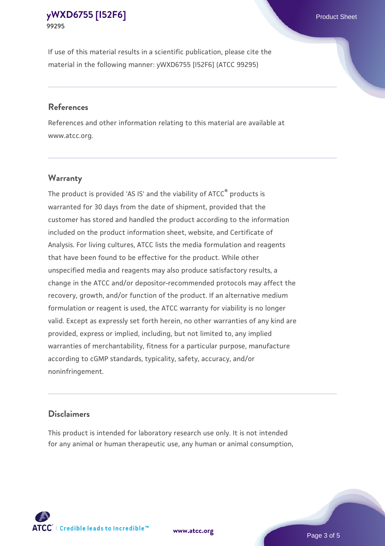If use of this material results in a scientific publication, please cite the material in the following manner: yWXD6755 [I52F6] (ATCC 99295)

#### **References**

References and other information relating to this material are available at www.atcc.org.

### **Warranty**

The product is provided 'AS IS' and the viability of  $ATCC<sup>®</sup>$  products is warranted for 30 days from the date of shipment, provided that the customer has stored and handled the product according to the information included on the product information sheet, website, and Certificate of Analysis. For living cultures, ATCC lists the media formulation and reagents that have been found to be effective for the product. While other unspecified media and reagents may also produce satisfactory results, a change in the ATCC and/or depositor-recommended protocols may affect the recovery, growth, and/or function of the product. If an alternative medium formulation or reagent is used, the ATCC warranty for viability is no longer valid. Except as expressly set forth herein, no other warranties of any kind are provided, express or implied, including, but not limited to, any implied warranties of merchantability, fitness for a particular purpose, manufacture according to cGMP standards, typicality, safety, accuracy, and/or noninfringement.

#### **Disclaimers**

This product is intended for laboratory research use only. It is not intended for any animal or human therapeutic use, any human or animal consumption,





Page 3 of 5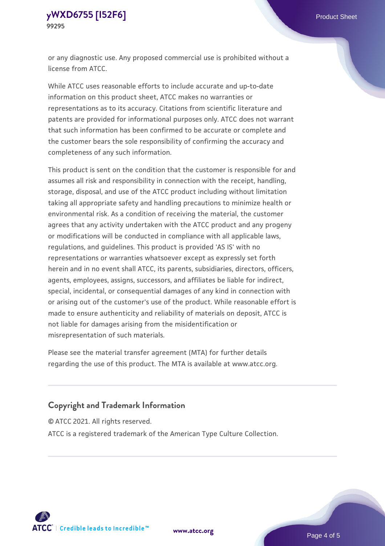or any diagnostic use. Any proposed commercial use is prohibited without a license from ATCC.

While ATCC uses reasonable efforts to include accurate and up-to-date information on this product sheet, ATCC makes no warranties or representations as to its accuracy. Citations from scientific literature and patents are provided for informational purposes only. ATCC does not warrant that such information has been confirmed to be accurate or complete and the customer bears the sole responsibility of confirming the accuracy and completeness of any such information.

This product is sent on the condition that the customer is responsible for and assumes all risk and responsibility in connection with the receipt, handling, storage, disposal, and use of the ATCC product including without limitation taking all appropriate safety and handling precautions to minimize health or environmental risk. As a condition of receiving the material, the customer agrees that any activity undertaken with the ATCC product and any progeny or modifications will be conducted in compliance with all applicable laws, regulations, and guidelines. This product is provided 'AS IS' with no representations or warranties whatsoever except as expressly set forth herein and in no event shall ATCC, its parents, subsidiaries, directors, officers, agents, employees, assigns, successors, and affiliates be liable for indirect, special, incidental, or consequential damages of any kind in connection with or arising out of the customer's use of the product. While reasonable effort is made to ensure authenticity and reliability of materials on deposit, ATCC is not liable for damages arising from the misidentification or misrepresentation of such materials.

Please see the material transfer agreement (MTA) for further details regarding the use of this product. The MTA is available at www.atcc.org.

### **Copyright and Trademark Information**

© ATCC 2021. All rights reserved.

ATCC is a registered trademark of the American Type Culture Collection.



**[www.atcc.org](http://www.atcc.org)**

Page 4 of 5